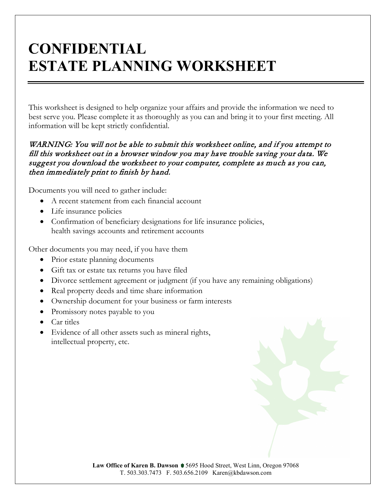# **CONFIDENTIAL ESTATE PLANNING WORKSHEET**

This worksheet is designed to help organize your affairs and provide the information we need to best serve you. Please complete it as thoroughly as you can and bring it to your first meeting. All information will be kept strictly confidential.

#### WARNING: You will not be able to submit this worksheet online, and if you attempt to fill this worksheet out in a browser window you may have trouble saving your data. We suggest you download the worksheet to your computer, complete as much as you can, then immediately print to finish by hand.

Documents you will need to gather include:

- A recent statement from each financial account
- Life insurance policies
- Confirmation of beneficiary designations for life insurance policies, health savings accounts and retirement accounts

Other documents you may need, if you have them

- Prior estate planning documents
- Gift tax or estate tax returns you have filed
- Divorce settlement agreement or judgment (if you have any remaining obligations)
- Real property deeds and time share information
- Ownership document for your business or farm interests
- Promissory notes payable to you
- Car titles
- Evidence of all other assets such as mineral rights, intellectual property, etc.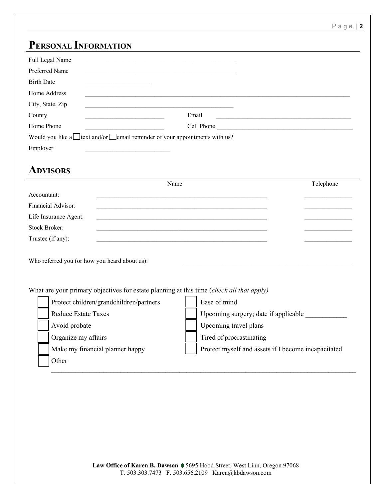#### **PERSONAL INFORMATION**

| 1 ENSUNAL 1NFUNNIATIUN                                                                                       |                                                                                                                      |           |
|--------------------------------------------------------------------------------------------------------------|----------------------------------------------------------------------------------------------------------------------|-----------|
| Full Legal Name<br>the control of the control of the control of the control of the control of the control of |                                                                                                                      |           |
| Preferred Name                                                                                               |                                                                                                                      |           |
| <b>Birth Date</b>                                                                                            |                                                                                                                      |           |
| Home Address                                                                                                 |                                                                                                                      |           |
| City, State, Zip                                                                                             |                                                                                                                      |           |
| County                                                                                                       | Email                                                                                                                |           |
| Home Phone                                                                                                   | Cell Phone                                                                                                           |           |
| Would you like a lext and/or email reminder of your appointments with us?                                    |                                                                                                                      |           |
| Employer                                                                                                     |                                                                                                                      |           |
|                                                                                                              |                                                                                                                      |           |
| <b>ADVISORS</b>                                                                                              |                                                                                                                      |           |
|                                                                                                              | Name                                                                                                                 | Telephone |
| Accountant:                                                                                                  |                                                                                                                      |           |
| Financial Advisor:                                                                                           |                                                                                                                      |           |
| Life Insurance Agent:                                                                                        |                                                                                                                      |           |
| <b>Stock Broker:</b>                                                                                         |                                                                                                                      |           |
| Trustee (if any):                                                                                            | <u> 1989 - Johann Stein, marwolaethau a bhann an t-Amhain an t-Amhain an t-Amhain an t-Amhain an t-Amhain an t-A</u> |           |
|                                                                                                              |                                                                                                                      |           |
| Who referred you (or how you heard about us):                                                                |                                                                                                                      |           |
|                                                                                                              |                                                                                                                      |           |
|                                                                                                              |                                                                                                                      |           |
| What are your primary objectives for estate planning at this time (check all that apply)                     |                                                                                                                      |           |
| Protect children/grandchildren/partners                                                                      | Ease of mind                                                                                                         |           |
| <b>Reduce Estate Taxes</b>                                                                                   | Upcoming surgery; date if applicable                                                                                 |           |
| Avoid probate                                                                                                | Upcoming travel plans                                                                                                |           |

Organize my affairs **Times** Tired of procrastinating

Other

Make my financial planner happy **Protect myself and assets if I become incapacitated** 

Law Office of Karen B. Dawson  $\blacklozenge$  5695 Hood Street, West Linn, Oregon 97068 T. 503.303.7473 F. 503.656.2109 Karen@kbdawson.com

 $\_$  , and the set of the set of the set of the set of the set of the set of the set of the set of the set of the set of the set of the set of the set of the set of the set of the set of the set of the set of the set of th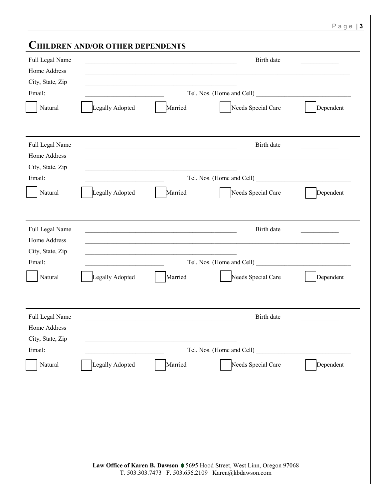|  | Law Office of Karen B. Dawson ♦ 5695 Hood Street, West Linn, Oregon 97068 |
|--|---------------------------------------------------------------------------|
|  | T. 503.303.7473 F. 503.656.2109 Karen@kbdawson.com                        |
|  |                                                                           |

| Full Legal Name                                     | <b>CHILDREN AND/OR OTHER DEPENDENTS</b><br>the control of the control of the control of the control of the control of the control of | Birth date                      |
|-----------------------------------------------------|--------------------------------------------------------------------------------------------------------------------------------------|---------------------------------|
| Home Address<br>City, State, Zip                    |                                                                                                                                      |                                 |
| Email:                                              |                                                                                                                                      |                                 |
| Natural                                             | Married<br>Legally Adopted                                                                                                           | Needs Special Care<br>Dependent |
| Full Legal Name<br>Home Address<br>City, State, Zip |                                                                                                                                      | Birth date                      |
| Email:                                              |                                                                                                                                      | Tel. Nos. (Home and Cell)       |
| Natural                                             | Legally Adopted<br>Married                                                                                                           | Needs Special Care<br>Dependent |
| Full Legal Name<br>Home Address                     |                                                                                                                                      | Birth date                      |
| City, State, Zip                                    |                                                                                                                                      |                                 |
| Email:                                              |                                                                                                                                      |                                 |
| Natural                                             | Legally Adopted<br>Married                                                                                                           | Needs Special Care<br>Dependent |
| Full Legal Name<br>Home Address                     |                                                                                                                                      | Birth date                      |
| City, State, Zip                                    |                                                                                                                                      |                                 |
| Email:                                              |                                                                                                                                      | Tel. Nos. (Home and Cell)       |
|                                                     | Legally Adopted<br>Married                                                                                                           | Needs Special Care<br>Dependent |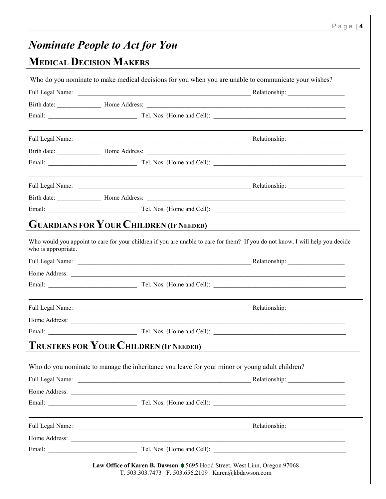#### Page | **4**

# *Nominate People to Act for You*

# **MEDICAL DECISION MAKERS**

|                     | Who do you nominate to make medical decisions for you when you are unable to communicate your wishes? |                                                                                                                                |
|---------------------|-------------------------------------------------------------------------------------------------------|--------------------------------------------------------------------------------------------------------------------------------|
|                     |                                                                                                       |                                                                                                                                |
|                     |                                                                                                       |                                                                                                                                |
|                     |                                                                                                       |                                                                                                                                |
|                     |                                                                                                       |                                                                                                                                |
|                     |                                                                                                       |                                                                                                                                |
|                     |                                                                                                       |                                                                                                                                |
|                     |                                                                                                       |                                                                                                                                |
|                     |                                                                                                       |                                                                                                                                |
|                     |                                                                                                       |                                                                                                                                |
|                     |                                                                                                       | GUARDIANS FOR YOUR CHILDREN (IF NEEDED)                                                                                        |
| who is appropriate. |                                                                                                       | Who would you appoint to care for your children if you are unable to care for them? If you do not know, I will help you decide |
|                     |                                                                                                       |                                                                                                                                |
|                     |                                                                                                       |                                                                                                                                |
|                     |                                                                                                       |                                                                                                                                |
|                     |                                                                                                       |                                                                                                                                |
|                     |                                                                                                       |                                                                                                                                |
|                     |                                                                                                       |                                                                                                                                |
|                     | <b>TRUSTEES FOR YOUR CHILDREN (IF NEEDED)</b>                                                         |                                                                                                                                |
|                     |                                                                                                       |                                                                                                                                |
|                     | Who do you nominate to manage the inheritance you leave for your minor or young adult children?       |                                                                                                                                |
|                     |                                                                                                       |                                                                                                                                |
|                     |                                                                                                       |                                                                                                                                |
|                     |                                                                                                       |                                                                                                                                |
|                     |                                                                                                       |                                                                                                                                |
|                     |                                                                                                       |                                                                                                                                |
|                     |                                                                                                       |                                                                                                                                |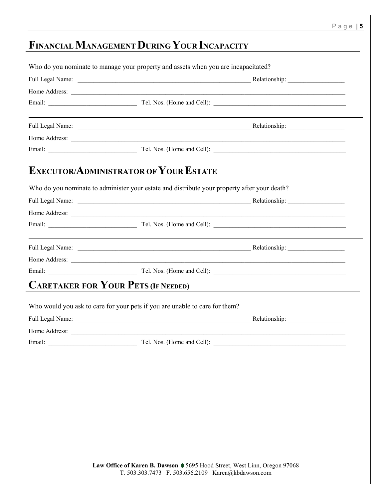## **FINANCIALMANAGEMENTDURING YOUR INCAPACITY**

| the control of the control of the control of the control of the control of the control of the control of the control of the control of the control of the control of the control of the control of the control of the control |  |
|-------------------------------------------------------------------------------------------------------------------------------------------------------------------------------------------------------------------------------|--|
|                                                                                                                                                                                                                               |  |
|                                                                                                                                                                                                                               |  |
| <b>EXECUTOR/ADMINISTRATOR OF YOUR ESTATE</b>                                                                                                                                                                                  |  |
| Who do you nominate to administer your estate and distribute your property after your death?                                                                                                                                  |  |
|                                                                                                                                                                                                                               |  |
|                                                                                                                                                                                                                               |  |
|                                                                                                                                                                                                                               |  |
|                                                                                                                                                                                                                               |  |
|                                                                                                                                                                                                                               |  |
|                                                                                                                                                                                                                               |  |
| <b>CARETAKER FOR YOUR PETS (IF NEEDED)</b>                                                                                                                                                                                    |  |
| Who would you ask to care for your pets if you are unable to care for them?                                                                                                                                                   |  |
|                                                                                                                                                                                                                               |  |
|                                                                                                                                                                                                                               |  |
| Email: Tel. Nos. (Home and Cell):                                                                                                                                                                                             |  |

Law Office of Karen B. Dawson ♦ 5695 Hood Street, West Linn, Oregon 97068 T. 503.303.7473 F. 503.656.2109 Karen@kbdawson.com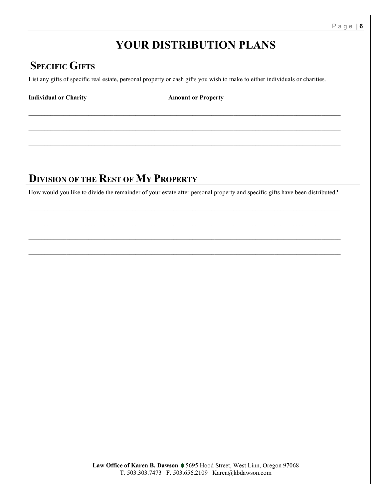### **YOUR DISTRIBUTION PLANS**

### **SPECIFIC GIFTS**

List any gifts of specific real estate, personal property or cash gifts you wish to make to either individuals or charities.

\_\_\_\_\_\_\_\_\_\_\_\_\_\_\_\_\_\_\_\_\_\_\_\_\_\_\_\_\_\_\_\_\_\_\_\_\_\_\_\_\_\_\_\_\_\_\_\_\_\_\_\_\_\_\_\_\_\_\_\_\_\_\_\_\_\_\_\_\_\_\_\_\_\_\_\_\_\_\_\_\_\_\_\_\_\_\_\_\_\_\_\_\_\_\_\_\_\_\_

\_\_\_\_\_\_\_\_\_\_\_\_\_\_\_\_\_\_\_\_\_\_\_\_\_\_\_\_\_\_\_\_\_\_\_\_\_\_\_\_\_\_\_\_\_\_\_\_\_\_\_\_\_\_\_\_\_\_\_\_\_\_\_\_\_\_\_\_\_\_\_\_\_\_\_\_\_\_\_\_\_\_\_\_\_\_\_\_\_\_\_\_\_\_\_\_\_\_\_

 $\_$  , and the state of the state of the state of the state of the state of the state of the state of the state of the state of the state of the state of the state of the state of the state of the state of the state of the

 $\_$  , and the state of the state of the state of the state of the state of the state of the state of the state of the state of the state of the state of the state of the state of the state of the state of the state of the

**Individual or Charity Amount or Property** 

#### **DIVISION OF THE REST OF MY PROPERTY**

How would you like to divide the remainder of your estate after personal property and specific gifts have been distributed?

\_\_\_\_\_\_\_\_\_\_\_\_\_\_\_\_\_\_\_\_\_\_\_\_\_\_\_\_\_\_\_\_\_\_\_\_\_\_\_\_\_\_\_\_\_\_\_\_\_\_\_\_\_\_\_\_\_\_\_\_\_\_\_\_\_\_\_\_\_\_\_\_\_\_\_\_\_\_\_\_\_\_\_\_\_\_\_\_\_\_\_\_\_\_\_\_\_\_\_

 $\_$  , and the state of the state of the state of the state of the state of the state of the state of the state of the state of the state of the state of the state of the state of the state of the state of the state of the

 $\_$  , and the state of the state of the state of the state of the state of the state of the state of the state of the state of the state of the state of the state of the state of the state of the state of the state of the

\_\_\_\_\_\_\_\_\_\_\_\_\_\_\_\_\_\_\_\_\_\_\_\_\_\_\_\_\_\_\_\_\_\_\_\_\_\_\_\_\_\_\_\_\_\_\_\_\_\_\_\_\_\_\_\_\_\_\_\_\_\_\_\_\_\_\_\_\_\_\_\_\_\_\_\_\_\_\_\_\_\_\_\_\_\_\_\_\_\_\_\_\_\_\_\_\_\_\_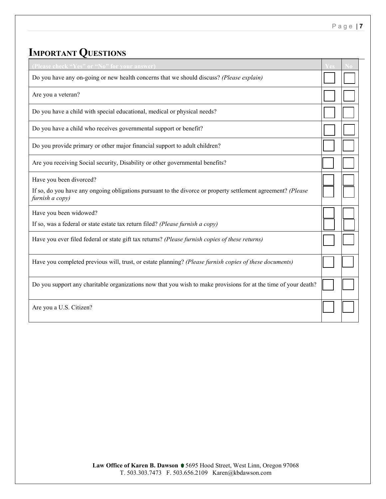# **IMPORTANT QUESTIONS**

| (Please check "Yes" or "No" for your answer)                                                                                    |  |
|---------------------------------------------------------------------------------------------------------------------------------|--|
| Do you have any on-going or new health concerns that we should discuss? (Please explain)                                        |  |
| Are you a veteran?                                                                                                              |  |
| Do you have a child with special educational, medical or physical needs?                                                        |  |
| Do you have a child who receives governmental support or benefit?                                                               |  |
| Do you provide primary or other major financial support to adult children?                                                      |  |
| Are you receiving Social security, Disability or other governmental benefits?                                                   |  |
| Have you been divorced?                                                                                                         |  |
| If so, do you have any ongoing obligations pursuant to the divorce or property settlement agreement? (Please<br>furnish a copy) |  |
| Have you been widowed?                                                                                                          |  |
| If so, was a federal or state estate tax return filed? (Please furnish a copy)                                                  |  |
| Have you ever filed federal or state gift tax returns? (Please furnish copies of these returns)                                 |  |
| Have you completed previous will, trust, or estate planning? (Please furnish copies of these documents)                         |  |
| Do you support any charitable organizations now that you wish to make provisions for at the time of your death?                 |  |
| Are you a U.S. Citizen?                                                                                                         |  |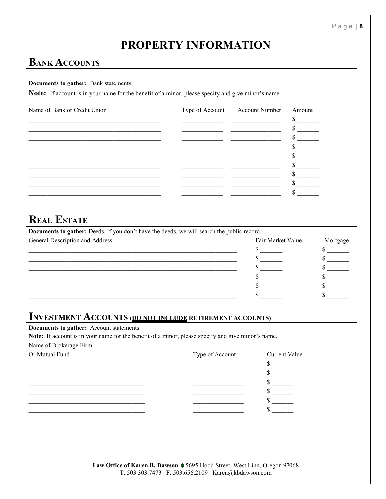## **PROPERTY INFORMATION**

#### **BANK ACCOUNTS**

#### **Documents to gather:** Bank statements

Note: If account is in your name for the benefit of a minor, please specify and give minor's name.

| Name of Bank or Credit Union | Type of Account Account Number | Amount |
|------------------------------|--------------------------------|--------|
|                              |                                |        |
|                              |                                |        |
|                              |                                |        |
|                              |                                |        |
|                              |                                |        |
|                              |                                |        |
|                              |                                |        |
|                              |                                |        |
|                              |                                |        |

#### **REAL ESTATE**

| Documents to gather: Deeds. If you don't have the deeds, we will search the public record. |                   |          |
|--------------------------------------------------------------------------------------------|-------------------|----------|
| General Description and Address                                                            | Fair Market Value | Mortgage |
|                                                                                            |                   |          |
|                                                                                            |                   |          |
|                                                                                            |                   |          |
|                                                                                            |                   |          |
|                                                                                            |                   |          |
|                                                                                            |                   |          |

#### **INVESTMENT ACCOUNTS (DO NOT INCLUDE RETIREMENT ACCOUNTS)**

Documents to gather: Account statements

Note: If account is in your name for the benefit of a minor, please specify and give minor's name. Name of Brokerage Firm

| Or Mutual Fund | Type of Account | Current Value |
|----------------|-----------------|---------------|
|                |                 |               |
|                |                 |               |
|                |                 |               |
|                |                 |               |
|                |                 |               |
|                |                 |               |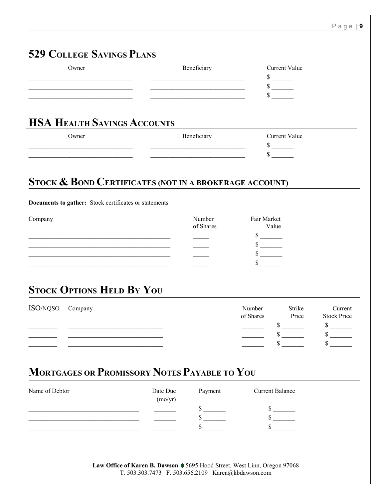#### **529 COLLEGE SAVINGS PLANS**

| Owner                                                                                                                                                                                                                                | Beneficiary                                                                                                                                                                                                                          | <b>Current Value</b>                        |                    |
|--------------------------------------------------------------------------------------------------------------------------------------------------------------------------------------------------------------------------------------|--------------------------------------------------------------------------------------------------------------------------------------------------------------------------------------------------------------------------------------|---------------------------------------------|--------------------|
|                                                                                                                                                                                                                                      | <u> 1990 - Johann John Stoff, deutscher Stoffen und der Stoffen und der Stoffen und der Stoffen und der Stoffen un</u>                                                                                                               | $\frac{\text{S}}{\text{S}}$                 |                    |
| <u> 1989 - Johann Stein, mars et al. 1990 - Anna ann an t-Alban ann an t-Alban ann an t-Alban ann an t-Alban ann an t-Alban ann an t-Alban ann an t-Alban ann an t-Alban ann an t-Alban ann an t-Alban ann an t-Alban ann an t-A</u> | <u> 1990 - Johann John Stein, markin fan it ferskearre fan it ferskearre fan it ferskearre fan it ferskearre fan</u>                                                                                                                 | $\frac{\text{S}}{\text{S}}$                 |                    |
|                                                                                                                                                                                                                                      |                                                                                                                                                                                                                                      | $\frac{\sqrt{2}}{2}$                        |                    |
|                                                                                                                                                                                                                                      |                                                                                                                                                                                                                                      |                                             |                    |
| <b>HSA HEALTH SAVINGS ACCOUNTS</b>                                                                                                                                                                                                   |                                                                                                                                                                                                                                      |                                             |                    |
| Owner                                                                                                                                                                                                                                | Beneficiary                                                                                                                                                                                                                          | <b>Current Value</b>                        |                    |
|                                                                                                                                                                                                                                      | <u> 1989 - Johann Harry Harry Harry Harry Harry Harry Harry Harry Harry Harry Harry Harry Harry Harry Harry Harry Harry Harry Harry Harry Harry Harry Harry Harry Harry Harry Harry Harry Harry Harry Harry Harry Harry Harry Ha</u> | $\frac{\text{S}}{\text{S}}$<br>$\mathbb{S}$ |                    |
|                                                                                                                                                                                                                                      | <u> 1989 - Johann John Stein, mars an deus Amerikaansk kommunister (</u>                                                                                                                                                             |                                             |                    |
|                                                                                                                                                                                                                                      |                                                                                                                                                                                                                                      |                                             |                    |
| STOCK & BOND CERTIFICATES (NOT IN A BROKERAGE ACCOUNT)                                                                                                                                                                               |                                                                                                                                                                                                                                      |                                             |                    |
|                                                                                                                                                                                                                                      |                                                                                                                                                                                                                                      |                                             |                    |
| Documents to gather: Stock certificates or statements                                                                                                                                                                                |                                                                                                                                                                                                                                      |                                             |                    |
| Company                                                                                                                                                                                                                              | Number                                                                                                                                                                                                                               | Fair Market                                 |                    |
|                                                                                                                                                                                                                                      | of Shares                                                                                                                                                                                                                            | Value                                       |                    |
| the control of the control of the control of the control of the control of the control of                                                                                                                                            |                                                                                                                                                                                                                                      | $\frac{\text{S}}{\text{S}}$                 |                    |
|                                                                                                                                                                                                                                      |                                                                                                                                                                                                                                      | $\frac{\text{S}}{\text{S}}$                 |                    |
|                                                                                                                                                                                                                                      |                                                                                                                                                                                                                                      | $\mathbb{S}$                                |                    |
|                                                                                                                                                                                                                                      |                                                                                                                                                                                                                                      |                                             |                    |
| <b>STOCK OPTIONS HELD BY YOU</b>                                                                                                                                                                                                     |                                                                                                                                                                                                                                      |                                             |                    |
|                                                                                                                                                                                                                                      |                                                                                                                                                                                                                                      |                                             |                    |
| ISO/NQSO<br>Company                                                                                                                                                                                                                  |                                                                                                                                                                                                                                      | Number<br>Strike                            | Current            |
|                                                                                                                                                                                                                                      |                                                                                                                                                                                                                                      | of Shares<br>Price                          | <b>Stock Price</b> |
|                                                                                                                                                                                                                                      |                                                                                                                                                                                                                                      | $\sim$                                      | $\sim$             |
|                                                                                                                                                                                                                                      |                                                                                                                                                                                                                                      | $\sim$                                      |                    |
|                                                                                                                                                                                                                                      |                                                                                                                                                                                                                                      |                                             |                    |
|                                                                                                                                                                                                                                      |                                                                                                                                                                                                                                      |                                             |                    |
| <b>MORTGAGES OR PROMISSORY NOTES PAYABLE TO YOU</b>                                                                                                                                                                                  |                                                                                                                                                                                                                                      |                                             |                    |
|                                                                                                                                                                                                                                      |                                                                                                                                                                                                                                      |                                             |                    |
| Name of Debtor                                                                                                                                                                                                                       | Date Due<br>Payment                                                                                                                                                                                                                  | <b>Current Balance</b>                      |                    |

| ivalije of Debtol | Date Due<br>(mo/yr) | гаушеш | Current Dalance |
|-------------------|---------------------|--------|-----------------|
|                   |                     |        |                 |
|                   |                     |        |                 |
|                   |                     |        |                 |
|                   |                     |        |                 |

Law Office of Karen B. Dawson ♦ 5695 Hood Street, West Linn, Oregon 97068 T. 503.303.7473 F. 503.656.2109 Karen@kbdawson.com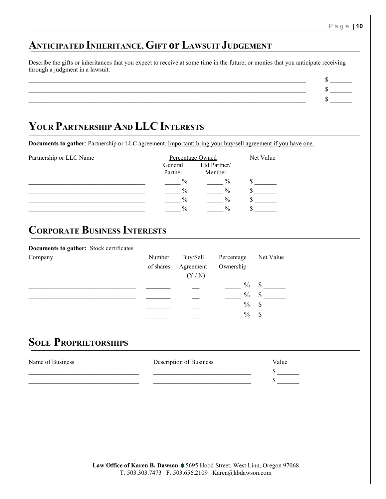#### **ANTICIPATED INHERITANCE, GIFT or LAWSUIT JUDGEMENT**

Describe the gifts or inheritances that you expect to receive at some time in the future; or monies that you anticipate receiving through a judgment in a lawsuit.

 $\sim$  5  $-$ \_\_\_\_\_\_\_\_\_\_\_\_\_\_\_\_\_\_\_\_\_\_\_\_\_\_\_\_\_\_\_\_\_\_\_\_\_\_\_\_\_\_\_\_\_\_\_\_\_\_\_\_\_\_\_\_\_\_\_\_\_\_\_\_\_\_\_\_\_\_\_\_\_\_\_\_\_\_\_\_\_\_\_\_\_\_\_\_ \$ \_\_\_\_\_\_\_  $\sim$  5  $-$ 

### **YOUR PARTNERSHIP AND LLC INTERESTS**

**Documents to gather**: Partnership or LLC agreement. Important: bring your buy/sell agreement if you have one.

| Partnership or LLC Name |  |  |
|-------------------------|--|--|
|                         |  |  |

| Partnership or LLC Name | Percentage Owned   | Net Value              |  |
|-------------------------|--------------------|------------------------|--|
|                         | General<br>Partner | Ltd Partner/<br>Member |  |
|                         | $\%$               | $\%$                   |  |
|                         | $\%$               | $\%$                   |  |
|                         | $\%$               | $\%$                   |  |
|                         | $\%$               | $\frac{0}{0}$          |  |

### **CORPORATE BUSINESS INTERESTS**

#### **Documents to gather:** Stock certificates

| Company | Number    | Buy/Sell  | Percentage    | Net Value |
|---------|-----------|-----------|---------------|-----------|
|         | of shares | Agreement | Ownership     |           |
|         |           | (Y/N)     |               |           |
|         |           |           | $\frac{0}{0}$ | \$        |
|         |           |           | $\frac{0}{0}$ | <b>S</b>  |
|         |           |           | $\%$          |           |
|         |           |           | $\frac{0}{0}$ |           |

#### **SOLE PROPRIETORSHIPS**

| Name of Business | Description of Business | Value |
|------------------|-------------------------|-------|
|                  |                         |       |
|                  |                         |       |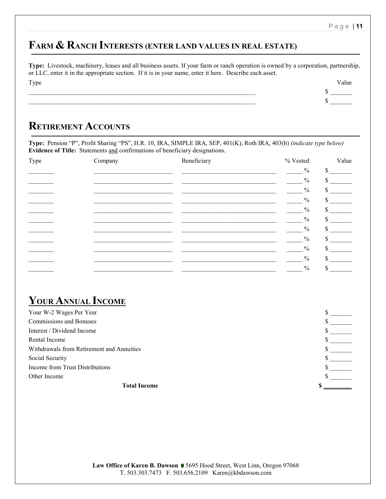Page | **11**

### **FARM & RANCH INTERESTS (ENTER LAND VALUES IN REAL ESTATE)**

**Type:** Livestock, machinery, leases and all business assets. If your farm or ranch operation is owned by a corporation, partnership, or LLC, enter it in the appropriate section. If it is in your name, enter it here. Describe each asset. Type **State Contract of the Contract of the Contract of the Contract of Table Contract of Table Contract of Table** 

\_\_\_\_\_\_\_\_\_\_\_\_\_\_\_\_\_\_\_\_\_\_\_\_\_\_\_\_\_\_\_\_\_\_\_\_\_\_\_\_\_\_\_\_\_\_\_\_\_\_\_\_\_\_\_\_\_\_\_\_\_\_\_\_\_\_\_\_\_\_\_\_ \$ \_\_\_\_\_\_\_ \_\_\_\_\_\_\_\_\_\_\_\_\_\_\_\_\_\_\_\_\_\_\_\_\_\_\_\_\_\_\_\_\_\_\_\_\_\_\_\_\_\_\_\_\_\_\_\_\_\_\_\_\_\_\_\_\_\_\_\_\_\_\_\_\_\_\_\_\_\_\_\_ \$ \_\_\_\_\_\_\_

#### **RETIREMENT ACCOUNTS**

**Type:** Pension "P", Profit Sharing "PS", H.R. 10, IRA, SIMPLE IRA, SEP, 401(K), Roth IRA, 403(b) *(indicate type below)* **Evidence of Title:** Statements and confirmations of beneficiary designations.

| Type | Company | Beneficiary | % Vested      | Value        |
|------|---------|-------------|---------------|--------------|
|      |         |             | $\frac{0}{0}$ | \$           |
|      |         |             | $\%$          | Jэ.          |
|      |         |             | $\frac{0}{0}$ |              |
|      |         |             | $\frac{0}{0}$ |              |
|      |         |             | $\frac{0}{0}$ |              |
|      |         |             | $\frac{0}{0}$ |              |
|      |         |             | $\frac{0}{0}$ | $\mathbf{s}$ |
|      |         |             | $\frac{0}{0}$ | \$           |
|      |         |             | $\frac{0}{0}$ |              |
|      |         |             | $\frac{0}{0}$ | ¢            |
|      |         |             | $\%$          |              |

#### YOUR **ANNUAL INCOME**

| <b>Total Income</b>                       |  |
|-------------------------------------------|--|
| Other Income                              |  |
| Income from Trust Distributions           |  |
| Social Security                           |  |
| Withdrawals from Retirement and Annuities |  |
| Rental Income                             |  |
| Interest / Dividend Income                |  |
| Commissions and Bonuses                   |  |
| Your W-2 Wages Per Year                   |  |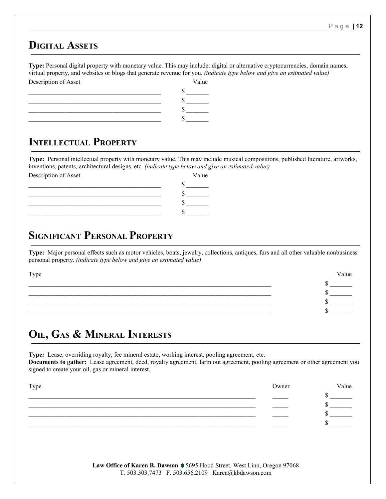#### **DIGITAL ASSETS**

**Type:** Personal digital property with monetary value. This may include: digital or alternative cryptocurrencies, domain names, virtual property, and websites or blogs that generate revenue for you. *(indicate type below and give an estimated value)* Description of Asset Value



### **INTELLECTUAL PROPERTY**

**Type:** Personal intellectual property with monetary value. This may include musical compositions, published literature, artworks, inventions, patents, architectural designs, etc. *(indicate type below and give an estimated value)*

|                      | ຼ | . . | $\check{ }$ |
|----------------------|---|-----|-------------|
| Description of Asset |   |     | Value       |
|                      |   |     |             |
|                      |   |     |             |
|                      |   |     |             |
|                      |   |     |             |
|                      |   |     |             |

### **SIGNIFICANT PERSONAL PROPERTY**

**Type:** Major personal effects such as motor vehicles, boats, jewelry, collections, antiques, furs and all other valuable nonbusiness personal property. *(indicate type below and give an estimated value)*

 $\sim$  5  $\sim$  5  $-$ \_\_\_\_\_\_\_\_\_\_\_\_\_\_\_\_\_\_\_\_\_\_\_\_\_\_\_\_\_\_\_\_\_\_\_\_\_\_\_\_\_\_\_\_\_\_\_\_\_\_\_\_\_\_\_\_\_\_\_\_\_\_\_\_\_\_\_\_\_\_\_\_\_\_\_\_\_ \$ \_\_\_\_\_\_\_  $\sim$  5  $-$ 

Type **Value** 

# **OIL, GAS & MINERAL INTERESTS**

**Type:** Lease, overriding royalty, fee mineral estate, working interest, pooling agreement, etc. **Documents to gather:** Lease agreement, deed, royalty agreement, farm out agreement, pooling agreement or other agreement you signed to create your oil, gas or mineral interest.

| Type | Owner | Value |
|------|-------|-------|
|      |       |       |
|      |       |       |
|      |       |       |
|      |       |       |
|      |       |       |